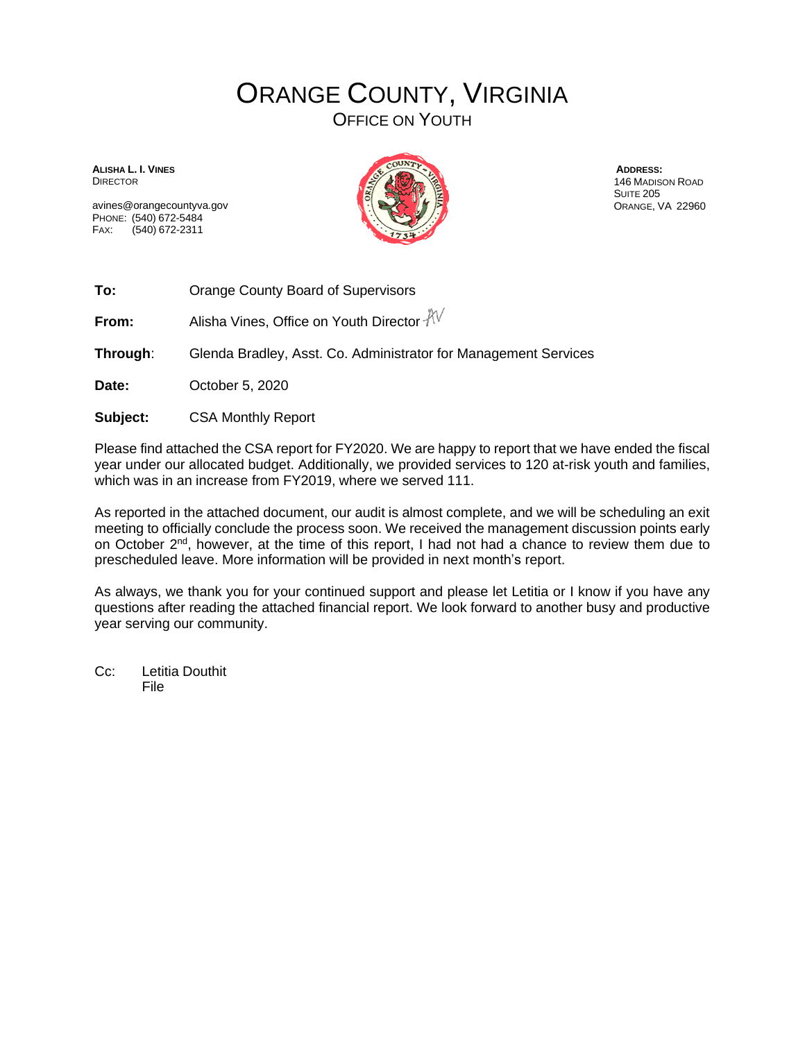## ORANGE COUNTY, VIRGINIA

OFFICE ON YOUTH

**ALISHA L. I. VINES** DIRECTOR

avines@orangecountyva.gov PHONE: (540) 672-5484 FAX: (540) 672-2311



**ADDRESS:** 146 MADISON ROAD SUITE 205 ORANGE, VA 22960

**To:** Orange County Board of Supervisors

**From:** Alisha Vines, Office on Youth Director  $\sqrt[3]{\sqrt{}}$ 

**Through**: Glenda Bradley, Asst. Co. Administrator for Management Services

**Date:** October 5, 2020

**Subject:** CSA Monthly Report

Please find attached the CSA report for FY2020. We are happy to report that we have ended the fiscal year under our allocated budget. Additionally, we provided services to 120 at-risk youth and families, which was in an increase from FY2019, where we served 111.

As reported in the attached document, our audit is almost complete, and we will be scheduling an exit meeting to officially conclude the process soon. We received the management discussion points early on October 2nd, however, at the time of this report, I had not had a chance to review them due to prescheduled leave. More information will be provided in next month's report.

As always, we thank you for your continued support and please let Letitia or I know if you have any questions after reading the attached financial report. We look forward to another busy and productive year serving our community.

Cc: Letitia Douthit File